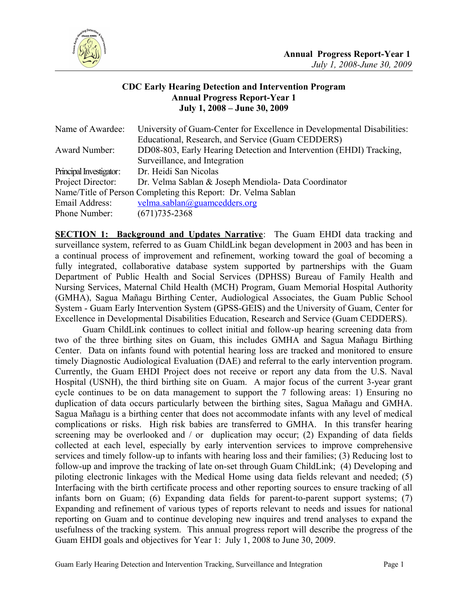

## **CDC Early Hearing Detection and Intervention Program Annual Progress Report-Year 1 July 1, 2008 – June 30, 2009**

| Name of Awardee:        | University of Guam-Center for Excellence in Developmental Disabilities: |  |  |  |  |
|-------------------------|-------------------------------------------------------------------------|--|--|--|--|
|                         | Educational, Research, and Service (Guam CEDDERS)                       |  |  |  |  |
| Award Number:           | DD08-803, Early Hearing Detection and Intervention (EHDI) Tracking,     |  |  |  |  |
|                         | Surveillance, and Integration                                           |  |  |  |  |
| Principal Investigator: | Dr. Heidi San Nicolas                                                   |  |  |  |  |
| Project Director:       | Dr. Velma Sablan & Joseph Mendiola- Data Coordinator                    |  |  |  |  |
|                         | Name/Title of Person Completing this Report: Dr. Velma Sablan           |  |  |  |  |
| Email Address:          | velma.sablan@guamcedders.org                                            |  |  |  |  |
| Phone Number:           | $(671)735 - 2368$                                                       |  |  |  |  |

**SECTION 1: Background and Updates Narrative**: The Guam EHDI data tracking and surveillance system, referred to as Guam ChildLink began development in 2003 and has been in a continual process of improvement and refinement, working toward the goal of becoming a fully integrated, collaborative database system supported by partnerships with the Guam Department of Public Health and Social Services (DPHSS) Bureau of Family Health and Nursing Services, Maternal Child Health (MCH) Program, Guam Memorial Hospital Authority (GMHA), Sagua Mañagu Birthing Center, Audiological Associates, the Guam Public School System - Guam Early Intervention System (GPSS-GEIS) and the University of Guam, Center for Excellence in Developmental Disabilities Education, Research and Service (Guam CEDDERS).

Guam ChildLink continues to collect initial and follow-up hearing screening data from two of the three birthing sites on Guam, this includes GMHA and Sagua Mañagu Birthing Center. Data on infants found with potential hearing loss are tracked and monitored to ensure timely Diagnostic Audiological Evaluation (DAE) and referral to the early intervention program. Currently, the Guam EHDI Project does not receive or report any data from the U.S. Naval Hospital (USNH), the third birthing site on Guam. A major focus of the current 3-year grant cycle continues to be on data management to support the 7 following areas: 1) Ensuring no duplication of data occurs particularly between the birthing sites, Sagua Mañagu and GMHA. Sagua Mañagu is a birthing center that does not accommodate infants with any level of medical complications or risks. High risk babies are transferred to GMHA. In this transfer hearing screening may be overlooked and / or duplication may occur; (2) Expanding of data fields collected at each level, especially by early intervention services to improve comprehensive services and timely follow-up to infants with hearing loss and their families; (3) Reducing lost to follow-up and improve the tracking of late on-set through Guam ChildLink; (4) Developing and piloting electronic linkages with the Medical Home using data fields relevant and needed; (5) Interfacing with the birth certificate process and other reporting sources to ensure tracking of all infants born on Guam; (6) Expanding data fields for parent-to-parent support systems; (7) Expanding and refinement of various types of reports relevant to needs and issues for national reporting on Guam and to continue developing new inquires and trend analyses to expand the usefulness of the tracking system. This annual progress report will describe the progress of the Guam EHDI goals and objectives for Year 1: July 1, 2008 to June 30, 2009.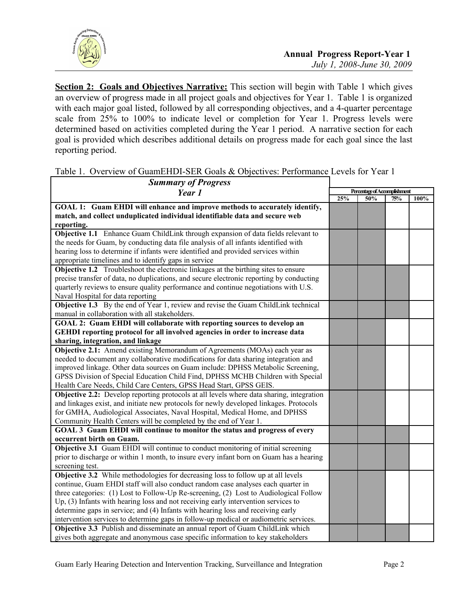

**Section 2: Goals and Objectives Narrative:** This section will begin with Table 1 which gives an overview of progress made in all project goals and objectives for Year 1. Table 1 is organized with each major goal listed, followed by all corresponding objectives, and a 4-quarter percentage scale from 25% to 100% to indicate level or completion for Year 1. Progress levels were determined based on activities completed during the Year 1 period. A narrative section for each goal is provided which describes additional details on progress made for each goal since the last reporting period.

| <b>Summary of Progress</b>                                                                      |                              |     |     |      |
|-------------------------------------------------------------------------------------------------|------------------------------|-----|-----|------|
| Year 1                                                                                          | Percentage of Accomplishment |     |     |      |
|                                                                                                 | 25%                          | 50% | 75% | 100% |
| GOAL 1: Guam EHDI will enhance and improve methods to accurately identify,                      |                              |     |     |      |
| match, and collect unduplicated individual identifiable data and secure web                     |                              |     |     |      |
| reporting.                                                                                      |                              |     |     |      |
| Objective 1.1 Enhance Guam ChildLink through expansion of data fields relevant to               |                              |     |     |      |
| the needs for Guam, by conducting data file analysis of all infants identified with             |                              |     |     |      |
| hearing loss to determine if infants were identified and provided services within               |                              |     |     |      |
| appropriate timelines and to identify gaps in service                                           |                              |     |     |      |
| <b>Objective 1.2</b> Troubleshoot the electronic linkages at the birthing sites to ensure       |                              |     |     |      |
| precise transfer of data, no duplications, and secure electronic reporting by conducting        |                              |     |     |      |
| quarterly reviews to ensure quality performance and continue negotiations with U.S.             |                              |     |     |      |
| Naval Hospital for data reporting                                                               |                              |     |     |      |
| Objective 1.3 By the end of Year 1, review and revise the Guam ChildLink technical              |                              |     |     |      |
| manual in collaboration with all stakeholders.                                                  |                              |     |     |      |
| GOAL 2: Guam EHDI will collaborate with reporting sources to develop an                         |                              |     |     |      |
| GEHDI reporting protocol for all involved agencies in order to increase data                    |                              |     |     |      |
| sharing, integration, and linkage                                                               |                              |     |     |      |
| Objective 2.1: Amend existing Memorandum of Agreements (MOAs) each year as                      |                              |     |     |      |
| needed to document any collaborative modifications for data sharing integration and             |                              |     |     |      |
| improved linkage. Other data sources on Guam include: DPHSS Metabolic Screening,                |                              |     |     |      |
| GPSS Division of Special Education Child Find, DPHSS MCHB Children with Special                 |                              |     |     |      |
| Health Care Needs, Child Care Centers, GPSS Head Start, GPSS GEIS.                              |                              |     |     |      |
| <b>Objective 2.2:</b> Develop reporting protocols at all levels where data sharing, integration |                              |     |     |      |
| and linkages exist, and initiate new protocols for newly developed linkages. Protocols          |                              |     |     |      |
| for GMHA, Audiological Associates, Naval Hospital, Medical Home, and DPHSS                      |                              |     |     |      |
| Community Health Centers will be completed by the end of Year 1.                                |                              |     |     |      |
| GOAL 3 Guam EHDI will continue to monitor the status and progress of every                      |                              |     |     |      |
| occurrent birth on Guam.                                                                        |                              |     |     |      |
| Objective 3.1 Guam EHDI will continue to conduct monitoring of initial screening                |                              |     |     |      |
| prior to discharge or within 1 month, to insure every infant born on Guam has a hearing         |                              |     |     |      |
| screening test.                                                                                 |                              |     |     |      |
| <b>Objective 3.2</b> While methodologies for decreasing loss to follow up at all levels         |                              |     |     |      |
| continue, Guam EHDI staff will also conduct random case analyses each quarter in                |                              |     |     |      |
| three categories: (1) Lost to Follow-Up Re-screening, (2) Lost to Audiological Follow           |                              |     |     |      |
| Up, $(3)$ Infants with hearing loss and not receiving early intervention services to            |                              |     |     |      |
| determine gaps in service; and (4) Infants with hearing loss and receiving early                |                              |     |     |      |
| intervention services to determine gaps in follow-up medical or audiometric services.           |                              |     |     |      |
| Objective 3.3 Publish and disseminate an annual report of Guam ChildLink which                  |                              |     |     |      |
| gives both aggregate and anonymous case specific information to key stakeholders                |                              |     |     |      |

Table 1. Overview of GuamEHDI-SER Goals & Objectives: Performance Levels for Year 1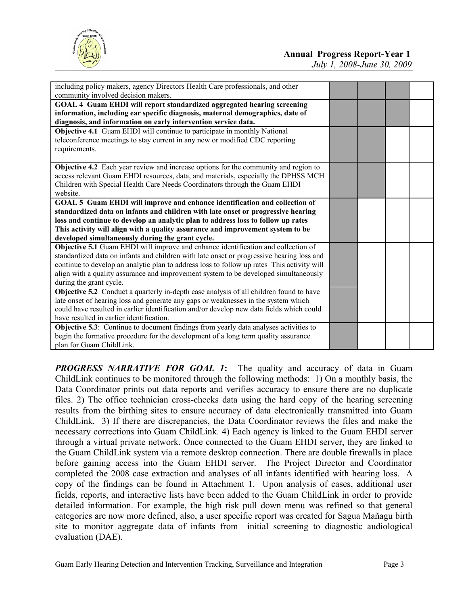

*July 1, 2008-June 30, 2009*

| including policy makers, agency Directors Health Care professionals, and other<br>community involved decision makers.                                          |  |  |
|----------------------------------------------------------------------------------------------------------------------------------------------------------------|--|--|
| GOAL 4 Guam EHDI will report standardized aggregated hearing screening                                                                                         |  |  |
| information, including ear specific diagnosis, maternal demographics, date of                                                                                  |  |  |
| diagnosis, and information on early intervention service data.                                                                                                 |  |  |
| Objective 4.1 Guam EHDI will continue to participate in monthly National                                                                                       |  |  |
| teleconference meetings to stay current in any new or modified CDC reporting                                                                                   |  |  |
| requirements.                                                                                                                                                  |  |  |
|                                                                                                                                                                |  |  |
| Objective 4.2 Each year review and increase options for the community and region to                                                                            |  |  |
| access relevant Guam EHDI resources, data, and materials, especially the DPHSS MCH                                                                             |  |  |
| Children with Special Health Care Needs Coordinators through the Guam EHDI                                                                                     |  |  |
| website.                                                                                                                                                       |  |  |
| GOAL 5 Guam EHDI will improve and enhance identification and collection of<br>standardized data on infants and children with late onset or progressive hearing |  |  |
| loss and continue to develop an analytic plan to address loss to follow up rates                                                                               |  |  |
| This activity will align with a quality assurance and improvement system to be                                                                                 |  |  |
| developed simultaneously during the grant cycle.                                                                                                               |  |  |
| Objective 5.1 Guam EHDI will improve and enhance identification and collection of                                                                              |  |  |
| standardized data on infants and children with late onset or progressive hearing loss and                                                                      |  |  |
| continue to develop an analytic plan to address loss to follow up rates This activity will                                                                     |  |  |
| align with a quality assurance and improvement system to be developed simultaneously                                                                           |  |  |
| during the grant cycle.                                                                                                                                        |  |  |
| Objective 5.2 Conduct a quarterly in-depth case analysis of all children found to have                                                                         |  |  |
| late onset of hearing loss and generate any gaps or weaknesses in the system which                                                                             |  |  |
| could have resulted in earlier identification and/or develop new data fields which could                                                                       |  |  |
| have resulted in earlier identification.                                                                                                                       |  |  |
| <b>Objective 5.3</b> : Continue to document findings from yearly data analyses activities to                                                                   |  |  |
| begin the formative procedure for the development of a long term quality assurance                                                                             |  |  |
| plan for Guam ChildLink.                                                                                                                                       |  |  |

*PROGRESS NARRATIVE FOR GOAL 1***:** The quality and accuracy of data in Guam ChildLink continues to be monitored through the following methods: 1) On a monthly basis, the Data Coordinator prints out data reports and verifies accuracy to ensure there are no duplicate files. 2) The office technician cross-checks data using the hard copy of the hearing screening results from the birthing sites to ensure accuracy of data electronically transmitted into Guam ChildLink. 3) If there are discrepancies, the Data Coordinator reviews the files and make the necessary corrections into Guam ChildLink. 4) Each agency is linked to the Guam EHDI server through a virtual private network. Once connected to the Guam EHDI server, they are linked to the Guam ChildLink system via a remote desktop connection. There are double firewalls in place before gaining access into the Guam EHDI server. The Project Director and Coordinator completed the 2008 case extraction and analyses of all infants identified with hearing loss. A copy of the findings can be found in Attachment 1. Upon analysis of cases, additional user fields, reports, and interactive lists have been added to the Guam ChildLink in order to provide detailed information. For example, the high risk pull down menu was refined so that general categories are now more defined, also, a user specific report was created for Sagua Mañagu birth site to monitor aggregate data of infants from initial screening to diagnostic audiological evaluation (DAE).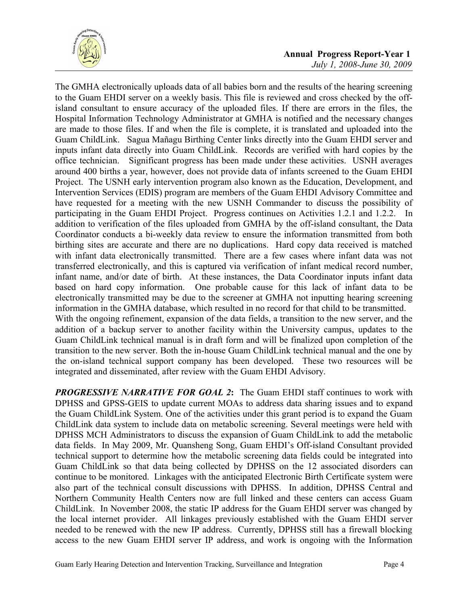

The GMHA electronically uploads data of all babies born and the results of the hearing screening to the Guam EHDI server on a weekly basis. This file is reviewed and cross checked by the offisland consultant to ensure accuracy of the uploaded files. If there are errors in the files, the Hospital Information Technology Administrator at GMHA is notified and the necessary changes are made to those files. If and when the file is complete, it is translated and uploaded into the Guam ChildLink. Sagua Mañagu Birthing Center links directly into the Guam EHDI server and inputs infant data directly into Guam ChildLink. Records are verified with hard copies by the office technician. Significant progress has been made under these activities. USNH averages around 400 births a year, however, does not provide data of infants screened to the Guam EHDI Project. The USNH early intervention program also known as the Education, Development, and Intervention Services (EDIS) program are members of the Guam EHDI Advisory Committee and have requested for a meeting with the new USNH Commander to discuss the possibility of participating in the Guam EHDI Project. Progress continues on Activities 1.2.1 and 1.2.2. In addition to verification of the files uploaded from GMHA by the off-island consultant, the Data Coordinator conducts a bi-weekly data review to ensure the information transmitted from both birthing sites are accurate and there are no duplications. Hard copy data received is matched with infant data electronically transmitted. There are a few cases where infant data was not transferred electronically, and this is captured via verification of infant medical record number, infant name, and/or date of birth. At these instances, the Data Coordinator inputs infant data based on hard copy information. One probable cause for this lack of infant data to be electronically transmitted may be due to the screener at GMHA not inputting hearing screening information in the GMHA database, which resulted in no record for that child to be transmitted. With the ongoing refinement, expansion of the data fields, a transition to the new server, and the addition of a backup server to another facility within the University campus, updates to the Guam ChildLink technical manual is in draft form and will be finalized upon completion of the transition to the new server. Both the in-house Guam ChildLink technical manual and the one by the on-island technical support company has been developed. These two resources will be integrated and disseminated, after review with the Guam EHDI Advisory.

*PROGRESSIVE NARRATIVE FOR GOAL 2***:** The Guam EHDI staff continues to work with DPHSS and GPSS-GEIS to update current MOAs to address data sharing issues and to expand the Guam ChildLink System. One of the activities under this grant period is to expand the Guam ChildLink data system to include data on metabolic screening. Several meetings were held with DPHSS MCH Administrators to discuss the expansion of Guam ChildLink to add the metabolic data fields. In May 2009, Mr. Quansheng Song, Guam EHDI's Off-island Consultant provided technical support to determine how the metabolic screening data fields could be integrated into Guam ChildLink so that data being collected by DPHSS on the 12 associated disorders can continue to be monitored. Linkages with the anticipated Electronic Birth Certificate system were also part of the technical consult discussions with DPHSS. In addition, DPHSS Central and Northern Community Health Centers now are full linked and these centers can access Guam ChildLink. In November 2008, the static IP address for the Guam EHDI server was changed by the local internet provider. All linkages previously established with the Guam EHDI server needed to be renewed with the new IP address. Currently, DPHSS still has a firewall blocking access to the new Guam EHDI server IP address, and work is ongoing with the Information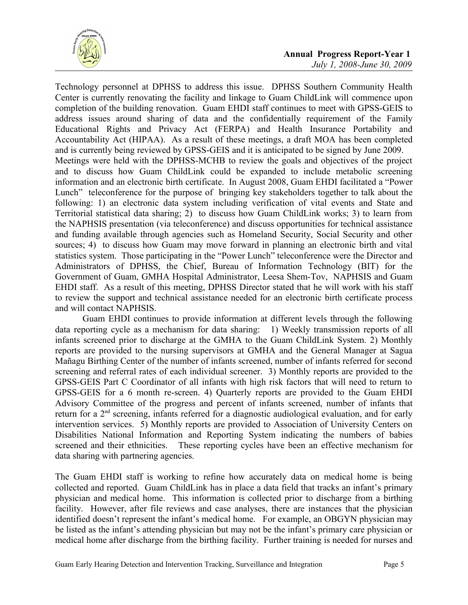

Technology personnel at DPHSS to address this issue. DPHSS Southern Community Health Center is currently renovating the facility and linkage to Guam ChildLink will commence upon completion of the building renovation. Guam EHDI staff continues to meet with GPSS-GEIS to address issues around sharing of data and the confidentially requirement of the Family Educational Rights and Privacy Act (FERPA) and Health Insurance Portability and Accountability Act (HIPAA). As a result of these meetings, a draft MOA has been completed and is currently being reviewed by GPSS-GEIS and it is anticipated to be signed by June 2009. Meetings were held with the DPHSS-MCHB to review the goals and objectives of the project and to discuss how Guam ChildLink could be expanded to include metabolic screening information and an electronic birth certificate. In August 2008, Guam EHDI facilitated a "Power Lunch" teleconference for the purpose of bringing key stakeholders together to talk about the following: 1) an electronic data system including verification of vital events and State and Territorial statistical data sharing; 2) to discuss how Guam ChildLink works; 3) to learn from the NAPHSIS presentation (via teleconference) and discuss opportunities for technical assistance and funding available through agencies such as Homeland Security, Social Security and other sources; 4) to discuss how Guam may move forward in planning an electronic birth and vital statistics system. Those participating in the "Power Lunch" teleconference were the Director and Administrators of DPHSS, the Chief, Bureau of Information Technology (BIT) for the Government of Guam, GMHA Hospital Administrator, Leesa Shem-Tov, NAPHSIS and Guam EHDI staff. As a result of this meeting, DPHSS Director stated that he will work with his staff to review the support and technical assistance needed for an electronic birth certificate process and will contact NAPHSIS.

Guam EHDI continues to provide information at different levels through the following data reporting cycle as a mechanism for data sharing: 1) Weekly transmission reports of all infants screened prior to discharge at the GMHA to the Guam ChildLink System. 2) Monthly reports are provided to the nursing supervisors at GMHA and the General Manager at Sagua Mañagu Birthing Center of the number of infants screened, number of infants referred for second screening and referral rates of each individual screener. 3) Monthly reports are provided to the GPSS-GEIS Part C Coordinator of all infants with high risk factors that will need to return to GPSS-GEIS for a 6 month re-screen. 4) Quarterly reports are provided to the Guam EHDI Advisory Committee of the progress and percent of infants screened, number of infants that return for a 2<sup>nd</sup> screening, infants referred for a diagnostic audiological evaluation, and for early intervention services. 5) Monthly reports are provided to Association of University Centers on Disabilities National Information and Reporting System indicating the numbers of babies screened and their ethnicities. These reporting cycles have been an effective mechanism for data sharing with partnering agencies.

The Guam EHDI staff is working to refine how accurately data on medical home is being collected and reported. Guam ChildLink has in place a data field that tracks an infant's primary physician and medical home. This information is collected prior to discharge from a birthing facility. However, after file reviews and case analyses, there are instances that the physician identified doesn't represent the infant's medical home. For example, an OBGYN physician may be listed as the infant's attending physician but may not be the infant's primary care physician or medical home after discharge from the birthing facility. Further training is needed for nurses and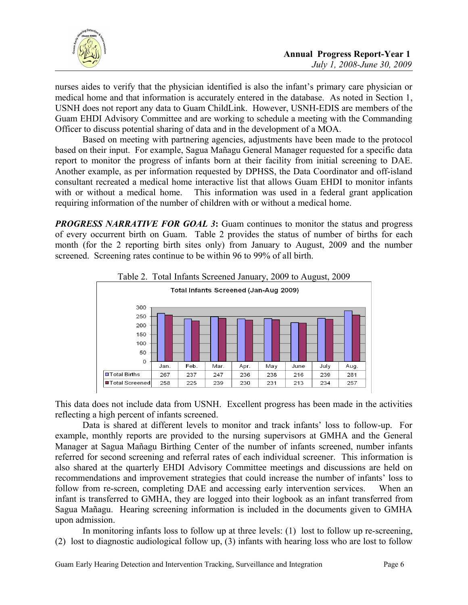

nurses aides to verify that the physician identified is also the infant's primary care physician or medical home and that information is accurately entered in the database. As noted in Section 1, USNH does not report any data to Guam ChildLink. However, USNH-EDIS are members of the Guam EHDI Advisory Committee and are working to schedule a meeting with the Commanding Officer to discuss potential sharing of data and in the development of a MOA.

Based on meeting with partnering agencies, adjustments have been made to the protocol based on their input. For example, Sagua Mañagu General Manager requested for a specific data report to monitor the progress of infants born at their facility from initial screening to DAE. Another example, as per information requested by DPHSS, the Data Coordinator and off-island consultant recreated a medical home interactive list that allows Guam EHDI to monitor infants with or without a medical home. This information was used in a federal grant application requiring information of the number of children with or without a medical home.

**PROGRESS NARRATIVE FOR GOAL 3:** Guam continues to monitor the status and progress of every occurrent birth on Guam. Table 2 provides the status of number of births for each month (for the 2 reporting birth sites only) from January to August, 2009 and the number screened. Screening rates continue to be within 96 to 99% of all birth.



This data does not include data from USNH. Excellent progress has been made in the activities reflecting a high percent of infants screened.

Data is shared at different levels to monitor and track infants' loss to follow-up. For example, monthly reports are provided to the nursing supervisors at GMHA and the General Manager at Sagua Mañagu Birthing Center of the number of infants screened, number infants referred for second screening and referral rates of each individual screener. This information is also shared at the quarterly EHDI Advisory Committee meetings and discussions are held on recommendations and improvement strategies that could increase the number of infants' loss to follow from re-screen, completing DAE and accessing early intervention services. When an infant is transferred to GMHA, they are logged into their logbook as an infant transferred from Sagua Mañagu. Hearing screening information is included in the documents given to GMHA upon admission.

In monitoring infants loss to follow up at three levels: (1) lost to follow up re-screening, (2) lost to diagnostic audiological follow up, (3) infants with hearing loss who are lost to follow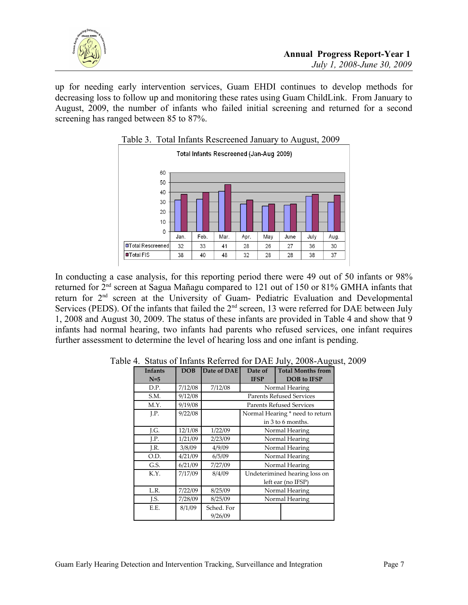

up for needing early intervention services, Guam EHDI continues to develop methods for decreasing loss to follow up and monitoring these rates using Guam ChildLink. From January to August, 2009, the number of infants who failed initial screening and returned for a second screening has ranged between 85 to 87%.



In conducting a case analysis, for this reporting period there were 49 out of 50 infants or 98% returned for 2nd screen at Sagua Mañagu compared to 121 out of 150 or 81% GMHA infants that return for 2nd screen at the University of Guam- Pediatric Evaluation and Developmental Services (PEDS). Of the infants that failed the  $2<sup>nd</sup>$  screen, 13 were referred for DAE between July 1, 2008 and August 30, 2009. The status of these infants are provided in Table 4 and show that 9 infants had normal hearing, two infants had parents who refused services, one infant requires further assessment to determine the level of hearing loss and one infant is pending.

| <b>Infants</b> | DOB     | Date of DAE                     | Date of                         | <b>Total Months from</b> |  |  |
|----------------|---------|---------------------------------|---------------------------------|--------------------------|--|--|
| $N=5$          |         |                                 | <b>IFSP</b>                     | <b>DOB</b> to IFSP       |  |  |
| D.P.           | 7/12/08 | 7/12/08                         | Normal Hearing                  |                          |  |  |
| S.M.           | 9/12/08 |                                 | <b>Parents Refused Services</b> |                          |  |  |
| M.Y.           | 9/19/08 | <b>Parents Refused Services</b> |                                 |                          |  |  |
| LP.            | 9/22/08 |                                 | Normal Hearing * need to return |                          |  |  |
|                |         |                                 | in 3 to 6 months.               |                          |  |  |
| J.G.           | 12/1/08 | 1/22/09                         | Normal Hearing                  |                          |  |  |
| J.P.           | 1/21/09 | 2/23/09                         | Normal Hearing                  |                          |  |  |
| J.R.           | 3/8/09  | 4/9/09                          | Normal Hearing                  |                          |  |  |
| O.D.           | 4/21/09 | 6/5/09                          | Normal Hearing                  |                          |  |  |
| G.S.           | 6/21/09 | 7/27/09                         | Normal Hearing                  |                          |  |  |
| K.Y.           | 7/17/09 | 8/4/09                          | Undeterimined hearing loss on   |                          |  |  |
|                |         |                                 | left ear (no IFSP)              |                          |  |  |
| L.R.           | 7/22/09 | 8/25/09                         | Normal Hearing                  |                          |  |  |
| J.S.           | 7/28/09 | 8/25/09                         | Normal Hearing                  |                          |  |  |
| E.E.           | 8/1/09  | Sched. For                      |                                 |                          |  |  |
|                |         | 9/26/09                         |                                 |                          |  |  |

Table 4. Status of Infants Referred for DAE July, 2008-August, 2009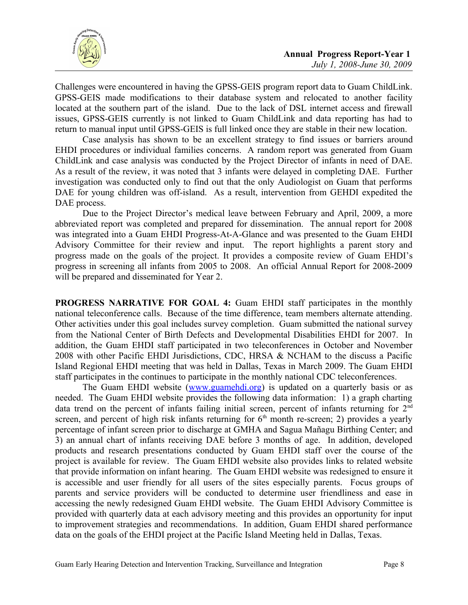

Challenges were encountered in having the GPSS-GEIS program report data to Guam ChildLink. GPSS-GEIS made modifications to their database system and relocated to another facility located at the southern part of the island. Due to the lack of DSL internet access and firewall issues, GPSS-GEIS currently is not linked to Guam ChildLink and data reporting has had to return to manual input until GPSS-GEIS is full linked once they are stable in their new location.

Case analysis has shown to be an excellent strategy to find issues or barriers around EHDI procedures or individual families concerns. A random report was generated from Guam ChildLink and case analysis was conducted by the Project Director of infants in need of DAE. As a result of the review, it was noted that 3 infants were delayed in completing DAE. Further investigation was conducted only to find out that the only Audiologist on Guam that performs DAE for young children was off-island. As a result, intervention from GEHDI expedited the DAE process.

Due to the Project Director's medical leave between February and April, 2009, a more abbreviated report was completed and prepared for dissemination. The annual report for 2008 was integrated into a Guam EHDI Progress-At-A-Glance and was presented to the Guam EHDI Advisory Committee for their review and input. The report highlights a parent story and progress made on the goals of the project. It provides a composite review of Guam EHDI's progress in screening all infants from 2005 to 2008. An official Annual Report for 2008-2009 will be prepared and disseminated for Year 2.

**PROGRESS NARRATIVE FOR GOAL 4:** Guam EHDI staff participates in the monthly national teleconference calls. Because of the time difference, team members alternate attending. Other activities under this goal includes survey completion. Guam submitted the national survey from the National Center of Birth Defects and Developmental Disabilities EHDI for 2007. In addition, the Guam EHDI staff participated in two teleconferences in October and November 2008 with other Pacific EHDI Jurisdictions, CDC, HRSA & NCHAM to the discuss a Pacific Island Regional EHDI meeting that was held in Dallas, Texas in March 2009. The Guam EHDI staff participates in the continues to participate in the monthly national CDC teleconferences.

The Guam EHDI website [\(www.guamehdi.org\)](http://www.guamehdi.org/) is updated on a quarterly basis or as needed. The Guam EHDI website provides the following data information: 1) a graph charting data trend on the percent of infants failing initial screen, percent of infants returning for 2<sup>nd</sup> screen, and percent of high risk infants returning for  $6<sup>th</sup>$  month re-screen; 2) provides a yearly percentage of infant screen prior to discharge at GMHA and Sagua Mañagu Birthing Center; and 3) an annual chart of infants receiving DAE before 3 months of age. In addition, developed products and research presentations conducted by Guam EHDI staff over the course of the project is available for review. The Guam EHDI website also provides links to related website that provide information on infant hearing. The Guam EHDI website was redesigned to ensure it is accessible and user friendly for all users of the sites especially parents. Focus groups of parents and service providers will be conducted to determine user friendliness and ease in accessing the newly redesigned Guam EHDI website. The Guam EHDI Advisory Committee is provided with quarterly data at each advisory meeting and this provides an opportunity for input to improvement strategies and recommendations. In addition, Guam EHDI shared performance data on the goals of the EHDI project at the Pacific Island Meeting held in Dallas, Texas.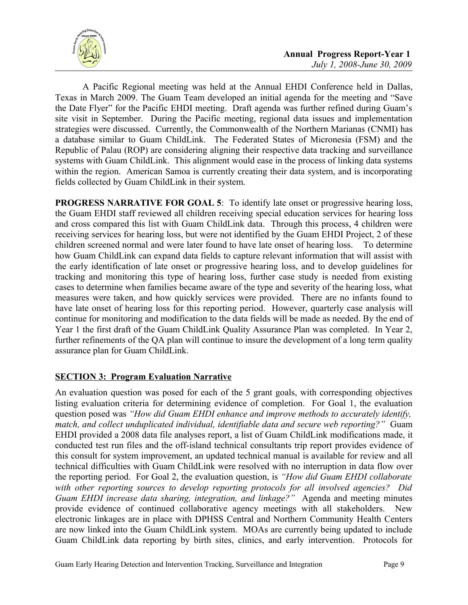

A Pacific Regional meeting was held at the Annual EHDI Conference held in Dallas, Texas in March 2009. The Guam Team developed an initial agenda for the meeting and "Save the Date Flyer" for the Pacific EHDI meeting. Draft agenda was further refined during Guam's site visit in September. During the Pacific meeting, regional data issues and implementation strategies were discussed. Currently, the Commonwealth of the Northern Marianas (CNMI) has a database similar to Guam ChildLink. The Federated States of Micronesia (FSM) and the Republic of Palau (ROP) are considering aligning their respective data tracking and surveillance systems with Guam ChildLink. This alignment would ease in the process of linking data systems within the region. American Samoa is currently creating their data system, and is incorporating fields collected by Guam ChildLink in their system.

**PROGRESS NARRATIVE FOR GOAL 5**: To identify late onset or progressive hearing loss, the Guam EHDI staff reviewed all children receiving special education services for hearing loss and cross compared this list with Guam ChildLink data. Through this process, 4 children were receiving services for hearing loss, but were not identified by the Guam EHDI Project, 2 of these children screened normal and were later found to have late onset of hearing loss. To determine how Guam ChildLink can expand data fields to capture relevant information that will assist with the early identification of late onset or progressive hearing loss, and to develop guidelines for tracking and monitoring this type of hearing loss, further case study is needed from existing cases to determine when families became aware of the type and severity of the hearing loss, what measures were taken, and how quickly services were provided. There are no infants found to have late onset of hearing loss for this reporting period. However, quarterly case analysis will continue for monitoring and modification to the data fields will be made as needed. By the end of Year 1 the first draft of the Guam ChildLink Quality Assurance Plan was completed. In Year 2, further refinements of the QA plan will continue to insure the development of a long term quality assurance plan for Guam ChildLink.

## **SECTION 3: Program Evaluation Narrative**

An evaluation question was posed for each of the 5 grant goals, with corresponding objectives listing evaluation criteria for determining evidence of completion. For Goal 1, the evaluation question posed was *"How did Guam EHDI enhance and improve methods to accurately identify, match, and collect unduplicated individual, identifiable data and secure web reporting?"* Guam EHDI provided a 2008 data file analyses report, a list of Guam ChildLink modifications made, it conducted test run files and the off-island technical consultants trip report provides evidence of this consult for system improvement, an updated technical manual is available for review and all technical difficulties with Guam ChildLink were resolved with no interruption in data flow over the reporting period. For Goal 2, the evaluation question, is *"How did Guam EHDI collaborate with other reporting sources to develop reporting protocols for all involved agencies? Did Guam EHDI increase data sharing, integration, and linkage?"* Agenda and meeting minutes provide evidence of continued collaborative agency meetings with all stakeholders. New electronic linkages are in place with DPHSS Central and Northern Community Health Centers are now linked into the Guam ChildLink system. MOAs are currently being updated to include Guam ChildLink data reporting by birth sites, clinics, and early intervention. Protocols for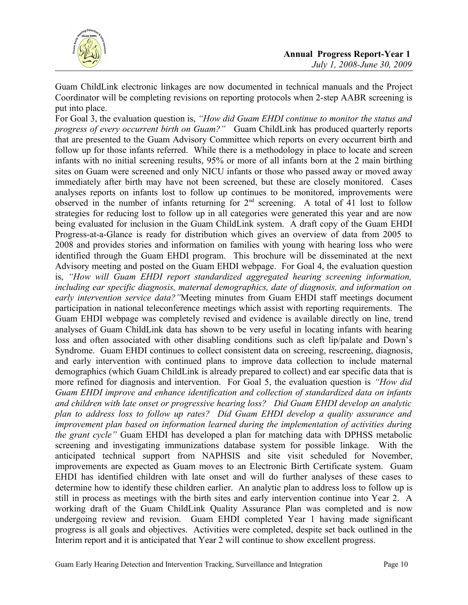

Guam ChildLink electronic linkages are now documented in technical manuals and the Project Coordinator will be completing revisions on reporting protocols when 2-step AABR screening is put into place.

For Goal 3, the evaluation question is, *"How did Guam EHDI continue to monitor the status and progress of every occurrent birth on Guam?"* Guam ChildLink has produced quarterly reports that are presented to the Guam Advisory Committee which reports on every occurrent birth and follow up for those infants referred. While there is a methodology in place to locate and screen infants with no initial screening results, 95% or more of all infants born at the 2 main birthing sites on Guam were screened and only NICU infants or those who passed away or moved away immediately after birth may have not been screened, but these are closely monitored. Cases analyses reports on infants lost to follow up continues to be monitored, improvements were observed in the number of infants returning for  $2<sup>nd</sup>$  screening. A total of 41 lost to follow strategies for reducing lost to follow up in all categories were generated this year and are now being evaluated for inclusion in the Guam ChildLink system. A draft copy of the Guam EHDI Progress-at-a-Glance is ready for distribution which gives an overview of data from 2005 to 2008 and provides stories and information on families with young with hearing loss who were identified through the Guam EHDI program. This brochure will be disseminated at the next Advisory meeting and posted on the Guam EHDI webpage. For Goal 4, the evaluation question is, *"How will Guam EHDI report standardized aggregated hearing screening information, including ear specific diagnosis, maternal demographics, date of diagnosis, and information on early intervention service data?"*Meeting minutes from Guam EHDI staff meetings document participation in national teleconference meetings which assist with reporting requirements. The Guam EHDI webpage was completely revised and evidence is available directly on line, trend analyses of Guam ChildLink data has shown to be very useful in locating infants with hearing loss and often associated with other disabling conditions such as cleft lip/palate and Down's Syndrome. Guam EHDI continues to collect consistent data on screeing, rescreening, diagnosis, and early intervention with continued plans to improve data collection to include maternal demographics (which Guam ChildLink is already prepared to collect) and ear specific data that is more refined for diagnosis and intervention. For Goal 5, the evaluation question is *"How did Guam EHDI improve and enhance identification and collection of standardized data on infants and children with late onset or progressive hearing loss? Did Guam EHDI develop an analytic plan to address loss to follow up rates? Did Guam EHDI develop a quality assurance and improvement plan based on information learned during the implementation of activities during the grant cycle"* Guam EHDI has developed a plan for matching data with DPHSS metabolic screening and investigating immunizations database system for possible linkage. With the anticipated technical support from NAPHSIS and site visit scheduled for November, improvements are expected as Guam moves to an Electronic Birth Certificate system. Guam EHDI has identified children with late onset and will do further analyses of these cases to determine how to identify these children earlier. An analytic plan to address loss to follow up is still in process as meetings with the birth sites and early intervention continue into Year 2. A working draft of the Guam ChildLink Quality Assurance Plan was completed and is now undergoing review and revision. Guam EHDI completed Year 1 having made significant progress is all goals and objectives. Activities were completed, despite set back outlined in the Interim report and it is anticipated that Year 2 will continue to show excellent progress.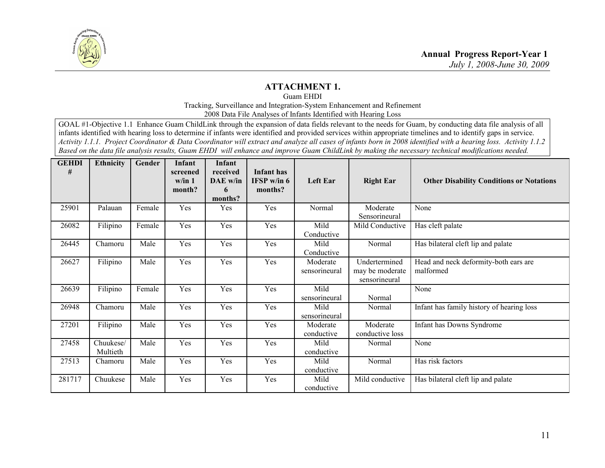

## **ATTACHMENT 1.**

Guam EHDI

Tracking, Surveillance and Integration-System Enhancement and Refinement

2008 Data File Analyses of Infants Identified with Hearing Loss

GOAL #1-Objective 1.1 Enhance Guam ChildLink through the expansion of data fields relevant to the needs for Guam, by conducting data file analysis of all infants identified with hearing loss to determine if infants were identified and provided services within appropriate timelines and to identify gaps in service. *Activity 1.1.1. Project Coordinator & Data Coordinator will extract and analyze all cases of infants born in 2008 identified with a hearing loss. Activity 1.1.2 Based on the data file analysis results, Guam EHDI will enhance and improve Guam ChildLink by making the necessary technical modifications needed.*

| <b>GEHDI</b><br># | <b>Ethnicity</b>      | Gender | Infant<br>screened<br>w/in 1<br>month? | Infant<br>received<br>DAE w/in<br>6 | <b>Infant</b> has<br><b>IFSP</b> w/in $6$<br>months? | Left Ear                  | <b>Right Ear</b>                                  | <b>Other Disability Conditions or Notations</b>    |
|-------------------|-----------------------|--------|----------------------------------------|-------------------------------------|------------------------------------------------------|---------------------------|---------------------------------------------------|----------------------------------------------------|
|                   |                       |        |                                        | months?                             |                                                      |                           |                                                   |                                                    |
| 25901             | Palauan               | Female | Yes                                    | Yes                                 | Yes                                                  | Normal                    | Moderate<br>Sensorineural                         | None                                               |
| 26082             | Filipino              | Female | Yes                                    | Yes                                 | Yes                                                  | Mild<br>Conductive        | Mild Conductive                                   | Has cleft palate                                   |
| 26445             | Chamoru               | Male   | Yes                                    | Yes                                 | Yes                                                  | Mild<br>Conductive        | Normal                                            | Has bilateral cleft lip and palate                 |
| 26627             | Filipino              | Male   | Yes                                    | Yes                                 | Yes                                                  | Moderate<br>sensorineural | Undertermined<br>may be moderate<br>sensorineural | Head and neck deformity-both ears are<br>malformed |
| 26639             | Filipino              | Female | Yes                                    | Yes                                 | Yes                                                  | Mild<br>sensorineural     | Normal                                            | None                                               |
| 26948             | Chamoru               | Male   | Yes                                    | Yes                                 | Yes                                                  | Mild<br>sensorineural     | Normal                                            | Infant has family history of hearing loss          |
| 27201             | Filipino              | Male   | Yes                                    | Yes                                 | Yes                                                  | Moderate<br>conductive    | Moderate<br>conductive loss                       | Infant has Downs Syndrome                          |
| 27458             | Chuukese/<br>Multieth | Male   | Yes                                    | Yes                                 | Yes                                                  | Mild<br>conductive        | Normal                                            | None                                               |
| 27513             | Chamoru               | Male   | Yes                                    | Yes                                 | Yes                                                  | Mild<br>conductive        | Normal                                            | Has risk factors                                   |
| 281717            | Chuukese              | Male   | Yes                                    | Yes                                 | Yes                                                  | Mild<br>conductive        | Mild conductive                                   | Has bilateral cleft lip and palate                 |